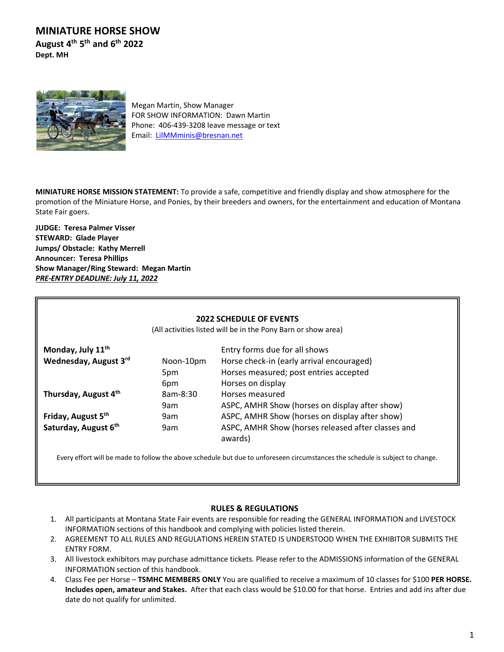**MINIATURE HORSE SHOW August 4 th 5 th and 6 th 2022**

**Dept. MH** 



Megan Martin, Show Manager FOR SHOW INFORMATION: Dawn Martin Phone: 406-439-3208 leave message or text Email: [LilMMminis@bresnan.net](mailto:LilMMminis@bresnan.net)

**MINIATURE HORSE MISSION STATEMENT:** To provide a safe, competitive and friendly display and show atmosphere for the promotion of the Miniature Horse, and Ponies, by their breeders and owners, for the entertainment and education of Montana State Fair goers.

**JUDGE: Teresa Palmer Visser STEWARD: Glade Player Jumps/ Obstacle: Kathy Merrell Announcer: Teresa Phillips Show Manager/Ring Steward: Megan Martin** *PRE-ENTRY DEADLINE: July 11, 2022*

| <b>2022 SCHEDULE OF EVENTS</b><br>(All activities listed will be in the Pony Barn or show area) |                         |                                                                                                          |  |  |  |  |
|-------------------------------------------------------------------------------------------------|-------------------------|----------------------------------------------------------------------------------------------------------|--|--|--|--|
| Monday, July 11 <sup>th</sup>                                                                   |                         | Entry forms due for all shows                                                                            |  |  |  |  |
| Wednesday, August 3rd                                                                           | Noon-10pm<br>5pm<br>6pm | Horse check-in (early arrival encouraged)<br>Horses measured; post entries accepted<br>Horses on display |  |  |  |  |
| Thursday, August 4th                                                                            | 8am-8:30<br>9am         | Horses measured<br>ASPC, AMHR Show (horses on display after show)                                        |  |  |  |  |
| Friday, August 5th                                                                              | 9am                     | ASPC, AMHR Show (horses on display after show)                                                           |  |  |  |  |
| Saturday, August 6th                                                                            | 9am                     | ASPC, AMHR Show (horses released after classes and<br>awards)                                            |  |  |  |  |

Every effort will be made to follow the above schedule but due to unforeseen circumstances the schedule is subject to change.

## **RULES & REGULATIONS**

- 1. All participants at Montana State Fair events are responsible for reading the GENERAL INFORMATION and LIVESTOCK INFORMATION sections of this handbook and complying with policies listed therein.
- 2. AGREEMENT TO ALL RULES AND REGULATIONS HEREIN STATED IS UNDERSTOOD WHEN THE EXHIBITOR SUBMITS THE ENTRY FORM.
- 3. All livestock exhibitors may purchase admittance tickets. Please refer to the ADMISSIONS information of the GENERAL INFORMATION section of this handbook.
- 4. Class Fee per Horse **TSMHC MEMBERS ONLY** You are qualified to receive a maximum of 10 classes for \$100 **PER HORSE. Includes open, amateur and Stakes.** After that each class would be \$10.00 for that horse. Entries and add ins after due date do not qualify for unlimited.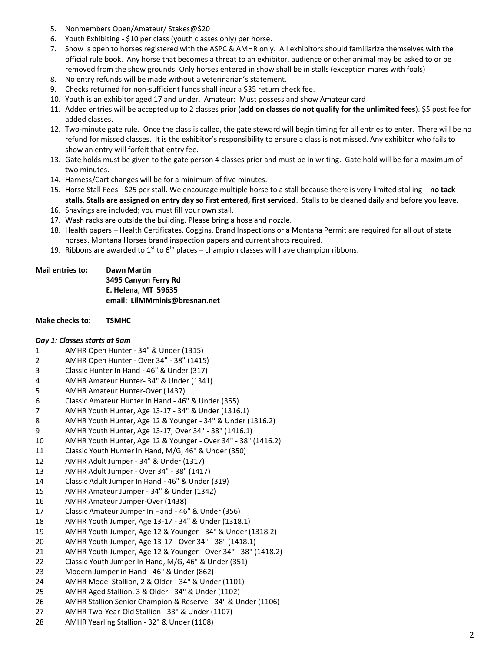- 5. Nonmembers Open/Amateur/ Stakes@\$20
- 6. Youth Exhibiting \$10 per class (youth classes only) per horse.
- 7. Show is open to horses registered with the ASPC & AMHR only. All exhibitors should familiarize themselves with the official rule book. Any horse that becomes a threat to an exhibitor, audience or other animal may be asked to or be removed from the show grounds. Only horses entered in show shall be in stalls (exception mares with foals)
- 8. No entry refunds will be made without a veterinarian's statement.
- 9. Checks returned for non-sufficient funds shall incur a \$35 return check fee.
- 10. Youth is an exhibitor aged 17 and under. Amateur: Must possess and show Amateur card
- 11. Added entries will be accepted up to 2 classes prior (**add on classes do not qualify for the unlimited fees**). \$5 post fee for added classes.
- 12. Two-minute gate rule. Once the class is called, the gate steward will begin timing for all entries to enter. There will be no refund for missed classes. It is the exhibitor's responsibility to ensure a class is not missed. Any exhibitor who fails to show an entry will forfeit that entry fee.
- 13. Gate holds must be given to the gate person 4 classes prior and must be in writing. Gate hold will be for a maximum of two minutes.
- 14. Harness/Cart changes will be for a minimum of five minutes.
- 15. Horse Stall Fees \$25 per stall. We encourage multiple horse to a stall because there is very limited stalling **no tack stalls**. **Stalls are assigned on entry day so first entered, first serviced**. Stalls to be cleaned daily and before you leave.
- 16. Shavings are included; you must fill your own stall.
- 17. Wash racks are outside the building. Please bring a hose and nozzle.
- 18. Health papers Health Certificates, Coggins, Brand Inspections or a Montana Permit are required for all out of state horses. Montana Horses brand inspection papers and current shots required.
- 19. Ribbons are awarded to  $1^{st}$  to  $6^{th}$  places champion classes will have champion ribbons.

| <b>Mail entries to:</b> | Dawn Martin                   |
|-------------------------|-------------------------------|
|                         | 3495 Canyon Ferry Rd          |
|                         | E. Helena. MT 59635           |
|                         | email: LilMMminis@bresnan.net |
|                         |                               |

**Make checks to: TSMHC**

## *Day 1: Classes starts at 9am*

- 1 AMHR Open Hunter 34" & Under (1315)
- 2 AMHR Open Hunter Over 34" 38" (1415)
- 3 Classic Hunter In Hand 46" & Under (317)
- 4 AMHR Amateur Hunter- 34" & Under (1341)
- 5 AMHR Amateur Hunter-Over (1437)
- 6 Classic Amateur Hunter In Hand 46" & Under (355)
- 7 AMHR Youth Hunter, Age 13-17 34" & Under (1316.1)
- 8 AMHR Youth Hunter, Age 12 & Younger 34" & Under (1316.2)
- 9 AMHR Youth Hunter, Age 13-17, Over 34" 38" (1416.1)
- 10 AMHR Youth Hunter, Age 12 & Younger Over 34" 38" (1416.2)
- 11 Classic Youth Hunter In Hand, M/G, 46" & Under (350)
- 12 AMHR Adult Jumper 34" & Under (1317)
- 13 AMHR Adult Jumper Over 34" 38" (1417)
- 14 Classic Adult Jumper In Hand 46" & Under (319)
- 15 AMHR Amateur Jumper 34" & Under (1342)
- 16 AMHR Amateur Jumper-Over (1438)
- 17 Classic Amateur Jumper In Hand 46" & Under (356)
- 18 AMHR Youth Jumper, Age 13-17 34" & Under (1318.1)
- 19 AMHR Youth Jumper, Age 12 & Younger 34" & Under (1318.2)
- 20 AMHR Youth Jumper, Age 13-17 Over 34" 38" (1418.1)
- 21 AMHR Youth Jumper, Age 12 & Younger Over 34" 38" (1418.2)
- 22 Classic Youth Jumper In Hand, M/G, 46" & Under (351)
- 23 Modern Jumper in Hand 46" & Under (862)
- 24 AMHR Model Stallion, 2 & Older 34" & Under (1101)
- 25 AMHR Aged Stallion, 3 & Older 34" & Under (1102)
- 26 AMHR Stallion Senior Champion & Reserve 34" & Under (1106)
- 27 AMHR Two-Year-Old Stallion 33" & Under (1107)
- 28 AMHR Yearling Stallion 32" & Under (1108)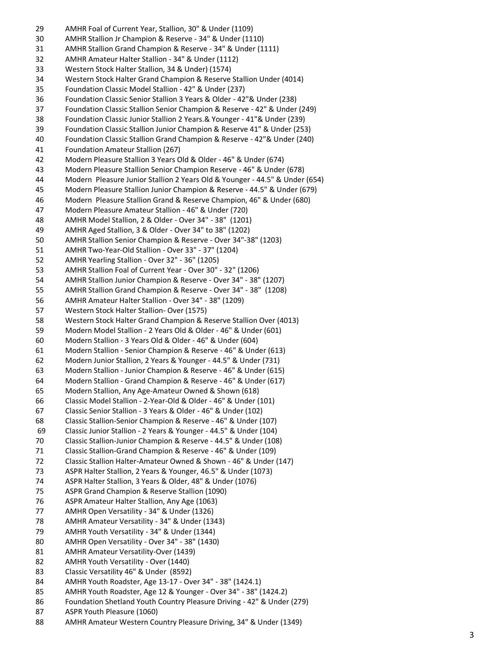- AMHR Foal of Current Year, Stallion, 30" & Under (1109) AMHR Stallion Jr Champion & Reserve - 34" & Under (1110) AMHR Stallion Grand Champion & Reserve - 34" & Under (1111) AMHR Amateur Halter Stallion - 34" & Under (1112) Western Stock Halter Stallion, 34 & Under) (1574) Western Stock Halter Grand Champion & Reserve Stallion Under (4014 ) Foundation Classic Model Stallion - 42" & Under (237) Foundation Classic Senior Stallion 3 Years & Older - 42"& Under (238) Foundation Classic Stallion Senior Champion & Reserve - 42" & Under (249) Foundation Classic Junior Stallion 2 Years.& Younger - 41"& Under (239) Foundation Classic Stallion Junior Champion & Reserve 41" & Under (253) Foundation Classic Stallion Grand Champion & Reserve - 42"& Under (240) Foundation Amateur Stallion (267) Modern Pleasure Stallion 3 Years Old & Older - 46" & Under (674) Modern Pleasure Stallion Senior Champion Reserve - 46" & Under (678) Modern Pleasure Junior Stallion 2 Years Old & Younger - 44.5" & Under (654) Modern Pleasure Stallion Junior Champion & Reserve - 44.5" & Under (679) Modern Pleasure Stallion Grand & Reserve Champion, 46" & Under (680) Modern Pleasure Amateur Stallion - 46" & Under (720) AMHR Model Stallion, 2 & Older - Over 34" - 38" (1201) AMHR Aged Stallion, 3 & Older - Over 34" to 38" (1202) AMHR Stallion Senior Champion & Reserve - Over 34" -38" (1203) AMHR Two -Year -Old Stallion - Over 33" - 37" (1204) AMHR Yearling Stallion - Over 32" - 36" (1205) AMHR Stallion Foal of Current Year - Over 30" - 32" (1206) AMHR Stallion Junior Champion & Reserve - Over 34" - 38" (1207) AMHR Stallion Grand Champion & Reserve - Over 34" - 38" (1208) AMHR Amateur Halter Stallion - Over 34" - 38" (1209) Western Stock Halter Stallion - Over (1575) Western Stock Halter Grand Champion & Reserve Stallion Over (4013 ) Modern Model Stallion - 2 Years Old & Older - 46" & Under (601) Modern Stallion - 3 Years Old & Older - 46" & Under (604) Modern Stallion - Senior Champion & Reserve - 46" & Under (613) Modern Junior Stallion, 2 Years & Younger - 44.5" & Under (731) Modern Stallion - Junior Champion & Reserve - 46" & Under (615) Modern Stallion - Grand Champion & Reserve - 46" & Under (617) Modern Stallion, Any Age -Amateur Owned & Shown (618) Classic Model Stallion - 2 -Year -Old & Older - 46" & Under (101) Classic Senior Stallion - 3 Years & Older - 46" & Under (102) Classic Stallion -Senior Champion & Reserve - 46" & Under (107) Classic Junior Stallion - 2 Years & Younger - 44.5" & Under (104 ) Classic Stallion -Junior Champion & Reserve - 44.5" & Under (108) Classic Stallion -Grand Champion & Reserve - 46" & Under (109) Classic Stallion Halter -Amateur Owned & Shown - 46" & Under (147) ASPR Halter Stallion, 2 Years & Younger, 46.5" & Under (1073) ASPR Halter Stallion, 3 Years & Older, 48" & Under (1076) ASPR Grand Champion & Reserve Stallion (1090) ASPR Amateur Halter Stallion, Any Age (1063) AMHR Open Versatility - 34" & Under (1326) AMHR Amateur Versatility - 34" & Under (1343) AMHR Youth Versatility - 34" & Under (1344) AMHR Open Versatility - Over 34" - 38" (1430) AMHR Amateur Versatility -Over (1439) AMHR Youth Versatility - Over (1440) Classic Versatility 46" & Under (8592) AMHR Youth Roadster, Age 13 -17 - Over 34" - 38" (1424.1) AMHR Youth Roadster, Age 12 & Younger - Over 34" - 38" (1424.2) Foundation Shetland Youth Country Pleasure Driving - 42" & Under (279) ASPR Youth Pleasure (1060)
- AMHR Amateur Western Country Pleasure Driving, 34" & Under (1349)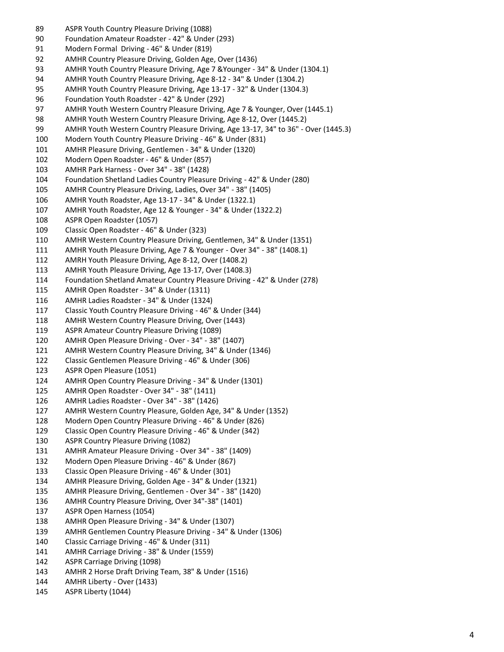- ASPR Youth Country Pleasure Driving (1088)
- Foundation Amateur Roadster 42" & Under (293)
- Modern Formal Driving 46" & Under (819)
- AMHR Country Pleasure Driving, Golden Age, Over (1436)
- AMHR Youth Country Pleasure Driving, Age 7 &Younger 34" & Under (1304.1)
- AMHR Youth Country Pleasure Driving, Age 8-12 34" & Under (1304.2)
- AMHR Youth Country Pleasure Driving, Age 13-17 32" & Under (1304.3)
- Foundation Youth Roadster 42" & Under (292)
- AMHR Youth Western Country Pleasure Driving, Age 7 & Younger, Over (1445.1)
- AMHR Youth Western Country Pleasure Driving, Age 8-12, Over (1445.2)
- AMHR Youth Western Country Pleasure Driving, Age 13-17, 34" to 36" Over (1445.3)
- Modern Youth Country Pleasure Driving 46" & Under (831)
- AMHR Pleasure Driving, Gentlemen 34" & Under (1320)
- Modern Open Roadster 46" & Under (857)
- AMHR Park Harness Over 34" 38" (1428)
- Foundation Shetland Ladies Country Pleasure Driving 42" & Under (280)
- AMHR Country Pleasure Driving, Ladies, Over 34" 38" (1405)
- AMHR Youth Roadster, Age 13-17 34" & Under (1322.1)
- AMHR Youth Roadster, Age 12 & Younger 34" & Under (1322.2)
- ASPR Open Roadster (1057)
- Classic Open Roadster 46" & Under (323)
- AMHR Western Country Pleasure Driving, Gentlemen, 34" & Under (1351)
- AMHR Youth Pleasure Driving, Age 7 & Younger Over 34" 38" (1408.1)
- AMRH Youth Pleasure Driving, Age 8-12, Over (1408.2)
- AMHR Youth Pleasure Driving, Age 13-17, Over (1408.3)
- Foundation Shetland Amateur Country Pleasure Driving 42" & Under (278)
- AMHR Open Roadster 34" & Under (1311)
- AMHR Ladies Roadster 34" & Under (1324)
- Classic Youth Country Pleasure Driving 46" & Under (344)
- AMHR Western Country Pleasure Driving, Over (1443)
- ASPR Amateur Country Pleasure Driving (1089)
- AMHR Open Pleasure Driving Over 34" 38" (1407)
- AMHR Western Country Pleasure Driving, 34" & Under (1346)
- Classic Gentlemen Pleasure Driving 46" & Under (306)
- ASPR Open Pleasure (1051)
- AMHR Open Country Pleasure Driving 34" & Under (1301)
- AMHR Open Roadster Over 34" 38" (1411)
- AMHR Ladies Roadster Over 34" 38" (1426)
- AMHR Western Country Pleasure, Golden Age, 34" & Under (1352)
- Modern Open Country Pleasure Driving 46" & Under (826)
- Classic Open Country Pleasure Driving 46" & Under (342)
- ASPR Country Pleasure Driving (1082)
- AMHR Amateur Pleasure Driving Over 34" 38" (1409)
- Modern Open Pleasure Driving 46" & Under (867)
- Classic Open Pleasure Driving 46" & Under (301)
- AMHR Pleasure Driving, Golden Age 34" & Under (1321)
- AMHR Pleasure Driving, Gentlemen Over 34" 38" (1420)
- AMHR Country Pleasure Driving, Over 34"-38" (1401)
- ASPR Open Harness (1054)
- AMHR Open Pleasure Driving 34" & Under (1307)
- AMHR Gentlemen Country Pleasure Driving 34" & Under (1306)
- Classic Carriage Driving 46" & Under (311)
- AMHR Carriage Driving 38" & Under (1559)
- ASPR Carriage Driving (1098)
- AMHR 2 Horse Draft Driving Team, 38" & Under (1516)
- AMHR Liberty Over (1433)
- ASPR Liberty (1044)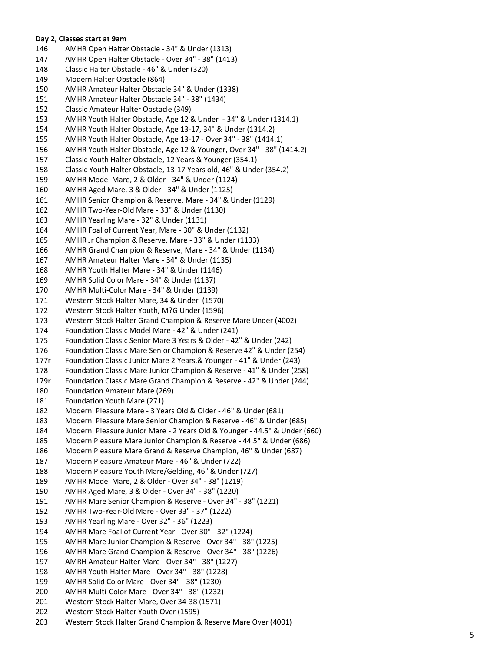## **Day 2, Classes start at 9am**

 AMHR Open Halter Obstacle - 34" & Under (1313) AMHR Open Halter Obstacle - Over 34" - 38" (1413) Classic Halter Obstacle - 46" & Under (320) Modern Halter Obstacle (864) AMHR Amateur Halter Obstacle 34" & Under (1338) AMHR Amateur Halter Obstacle 34" - 38" (1434) Classic Amateur Halter Obstacle (349) AMHR Youth Halter Obstacle, Age 12 & Under - 34" & Under (1314.1) AMHR Youth Halter Obstacle, Age 13 -17, 34" & Under (1314.2) AMHR Youth Halter Obstacle, Age 13 -17 - Over 34" - 38" (1414.1) AMHR Youth Halter Obstacle, Age 12 & Younger, Over 34" - 38" (1414.2) Classic Youth Halter Obstacle, 12 Years & Younger (354.1) Classic Youth Halter Obstacle, 13 -17 Years old, 46" & Under (354.2) AMHR Model Mare, 2 & Older - 34" & Under (1124) AMHR Aged Mare, 3 & Older - 34" & Under (1125 ) AMHR Senior Champion & Reserve, Mare - 34" & Under (1129) AMHR Two -Year -Old Mare - 33" & Under (1130) AMHR Yearling Mare - 32" & Under (1131) AMHR Foal of Current Year, Mare - 30" & Under (1132) AMHR Jr Champion & Reserve, Mare - 33" & Under (1133) AMHR Grand Champion & Reserve, Mare - 34" & Under (1134) AMHR Amateur Halter Mare - 34" & Under (1135) AMHR Youth Halter Mare - 34" & Under (1146) AMHR Solid Color Mare - 34" & Under (1137) AMHR Multi -Color Mare - 34" & Under (1139) Western Stock Halter Mare, 34 & Under (1570) Western Stock Halter Youth, M?G Under (1596) Western Stock Halter Grand Champion & Reserve Mare Under (4002 ) Foundation Classic Model Mare - 42" & Under (241) Foundation Classic Senior Mare 3 Years & Older - 42" & Under (242) Foundation Classic Mare Senior Champion & Reserve 42" & Under (254) 177r Foundation Classic Junior Mare 2 Years.& Younger - 41" & Under (243) Foundation Classic Mare Junior Champion & Reserve - 41" & Under (258) 179r Foundation Classic Mare Grand Champion & Reserve - 42" & Under (244) Foundation Amateur Mare (269) Foundation Youth Mare (271) Modern Pleasure Mare - 3 Years Old & Older - 46" & Under (681) Modern Pleasure Mare Senior Champion & Reserve - 46" & Under (685) Modern Pleasure Junior Mare - 2 Years Old & Younger - 44.5" & Under (660) Modern Pleasure Mare Junior Champion & Reserve - 44.5" & Under (686) Modern Pleasure Mare Grand & Reserve Champion, 46" & Under (687 ) Modern Pleasure Amateur Mare - 46" & Under (722) Modern Pleasure Youth Mare/Gelding, 46" & Under (727) AMHR Model Mare, 2 & Older - Over 34" - 38" (1219) AMHR Aged Mare, 3 & Older - Over 34" - 38" (1220) AMHR Mare Senior Champion & Reserve - Over 34" - 38" (1221) AMHR Two -Year -Old Mare - Over 33" - 37" (1222) AMHR Yearling Mare - Over 32" - 36" (1223) AMHR Mare Foal of Current Year - Over 30" - 32" (1224) AMHR Mare Junior Champion & Reserve - Over 34" - 38" (1225) AMHR Mare Grand Champion & Reserve - Over 34" - 38" (1226) AMRH Amateur Halter Mare - Over 34" - 38" (1227) AMHR Youth Halter Mare - Over 34" - 38" (1228) AMHR Solid Color Mare - Over 34" - 38" (1230) AMHR Multi -Color Mare - Over 34" - 38" (1232) Western Stock Halter Mare, Over 34 -38 (1571) Western Stock Halter Youth Over (1595) Western Stock Halter Grand Champion & Reserve Mare Over (4001)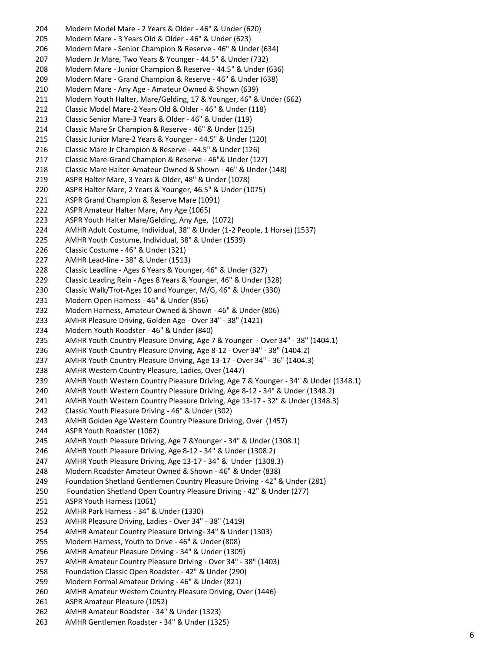Modern Model Mare - 2 Years & Older - 46" & Under (620) Modern Mare - 3 Years Old & Older - 46" & Under (623) Modern Mare - Senior Champion & Reserve - 46" & Under (634) Modern Jr Mare, Two Years & Younger - 44.5" & Under (732) Modern Mare - Junior Champion & Reserve - 44.5" & Under (636) Modern Mare - Grand Champion & Reserve - 46" & Under (638) Modern Mare - Any Age - Amateur Owned & Shown (639) Modern Youth Halter, Mare/Gelding, 17 & Younger, 46" & Under (662) Classic Model Mare-2 Years Old & Older - 46" & Under (118) Classic Senior Mare-3 Years & Older - 46" & Under (119) Classic Mare Sr Champion & Reserve - 46" & Under (125) Classic Junior Mare-2 Years & Younger - 44.5" & Under (120) Classic Mare Jr Champion & Reserve - 44.5" & Under (126) Classic Mare-Grand Champion & Reserve - 46"& Under (127) Classic Mare Halter-Amateur Owned & Shown - 46" & Under (148) ASPR Halter Mare, 3 Years & Older, 48" & Under (1078) ASPR Halter Mare, 2 Years & Younger, 46.5" & Under (1075) ASPR Grand Champion & Reserve Mare (1091) ASPR Amateur Halter Mare, Any Age (1065) ASPR Youth Halter Mare/Gelding, Any Age, (1072) AMHR Adult Costume, Individual, 38" & Under (1-2 People, 1 Horse) (1537) AMHR Youth Costume, Individual, 38" & Under (1539) Classic Costume - 46" & Under (321) AMHR Lead-line - 38" & Under (1513) Classic Leadline - Ages 6 Years & Younger, 46" & Under (327) Classic Leading Rein - Ages 8 Years & Younger, 46" & Under (328) Classic Walk/Trot-Ages 10 and Younger, M/G, 46" & Under (330) Modern Open Harness - 46" & Under (856) Modern Harness, Amateur Owned & Shown - 46" & Under (806) AMHR Pleasure Driving, Golden Age - Over 34" - 38" (1421) Modern Youth Roadster - 46" & Under (840) AMHR Youth Country Pleasure Driving, Age 7 & Younger - Over 34" - 38" (1404.1) AMHR Youth Country Pleasure Driving, Age 8-12 - Over 34" - 38" (1404.2) AMHR Youth Country Pleasure Driving, Age 13-17 - Over 34" - 36" (1404.3) AMHR Western Country Pleasure, Ladies, Over (1447) AMHR Youth Western Country Pleasure Driving, Age 7 & Younger - 34" & Under (1348.1) AMHR Youth Western Country Pleasure Driving, Age 8-12 - 34" & Under (1348.2) AMHR Youth Western Country Pleasure Driving, Age 13-17 - 32" & Under (1348.3) Classic Youth Pleasure Driving - 46" & Under (302) AMHR Golden Age Western Country Pleasure Driving, Over (1457) ASPR Youth Roadster (1062) AMHR Youth Pleasure Driving, Age 7 &Younger - 34" & Under (1308.1) AMHR Youth Pleasure Driving, Age 8-12 - 34" & Under (1308.2) AMHR Youth Pleasure Driving, Age 13-17 - 34" & Under (1308.3) Modern Roadster Amateur Owned & Shown - 46" & Under (838) Foundation Shetland Gentlemen Country Pleasure Driving - 42" & Under (281) Foundation Shetland Open Country Pleasure Driving - 42" & Under (277) ASPR Youth Harness (1061) AMHR Park Harness - 34" & Under (1330) AMHR Pleasure Driving, Ladies - Over 34" - 38" (1419) AMHR Amateur Country Pleasure Driving- 34" & Under (1303) Modern Harness, Youth to Drive - 46" & Under (808) AMHR Amateur Pleasure Driving - 34" & Under (1309) AMHR Amateur Country Pleasure Driving - Over 34" - 38" (1403) Foundation Classic Open Roadster - 42" & Under (290) Modern Formal Amateur Driving - 46" & Under (821) AMHR Amateur Western Country Pleasure Driving, Over (1446) ASPR Amateur Pleasure (1052) AMHR Amateur Roadster - 34" & Under (1323) AMHR Gentlemen Roadster - 34" & Under (1325)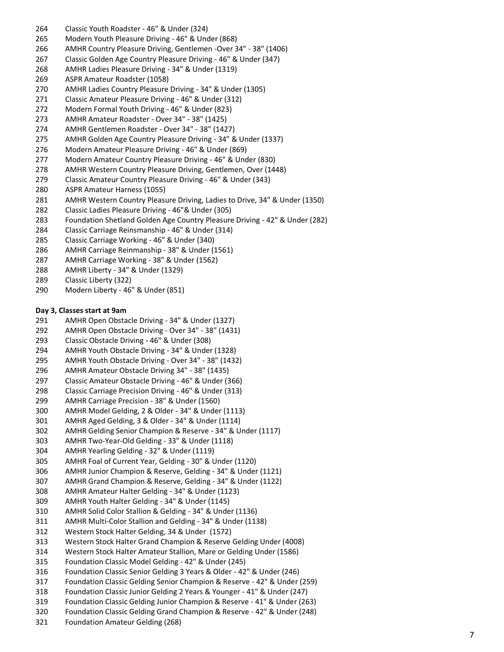- Classic Youth Roadster 46" & Under (324)
- Modern Youth Pleasure Driving 46" & Under (868)
- 266 AMHR Country Pleasure Driving, Gentlemen -Over 34" 38" (1406)
- Classic Golden Age Country Pleasure Driving 46" & Under (347)
- AMHR Ladies Pleasure Driving 34" & Under (1319)
- ASPR Amateur Roadster (1058)
- AMHR Ladies Country Pleasure Driving 34" & Under (1305)
- Classic Amateur Pleasure Driving 46" & Under (312)
- Modern Formal Youth Driving 46" & Under (823)
- AMHR Amateur Roadster Over 34" 38" (1425)
- AMHR Gentlemen Roadster Over 34" 38" (1427)
- AMHR Golden Age Country Pleasure Driving 34" & Under (1337)
- Modern Amateur PIeasure Driving 46" & Under (869)
- Modern Amateur Country Pleasure Driving 46" & Under (830)
- AMHR Western Country Pleasure Driving, Gentlemen, Over (1448)
- Classic Amateur Country Pleasure Driving 46" & Under (343)
- ASPR Amateur Harness (1055)
- AMHR Western Country Pleasure Driving, Ladies to Drive, 34" & Under (1350)
- Classic Ladies Pleasure Driving 46"& Under (305)
- Foundation Shetland Golden Age Country Pleasure Driving 42" & Under (282)
- Classic Carriage Reinsmanship 46" & Under (314)
- Classic Carriage Working 46" & Under (340)
- AMHR Carriage Reinmanship 38" & Under (1561)
- AMHR Carriage Working 38" & Under (1562)
- AMHR Liberty 34" & Under (1329)
- Classic Liberty (322)
- Modern Liberty 46" & Under (851)

## **Day 3, Classes start at 9am**

- AMHR Open Obstacle Driving 34" & Under (1327)
- AMHR Open Obstacle Driving Over 34" 38" (1431)
- Classic Obstacle Driving 46" & Under (308)
- AMHR Youth Obstacle Driving 34" & Under (1328)
- AMHR Youth Obstacle Driving Over 34" 38" (1432)
- AMHR Amateur Obstacle Driving 34" 38" (1435)
- Classic Amateur Obstacle Driving 46" & Under (366)
- Classic Carriage Precision Driving 46" & Under (313)
- AMHR Carriage Precision 38" & Under (1560)
- AMHR Model Gelding, 2 & Older 34" & Under (1113)
- AMHR Aged Gelding, 3 & Older 34" & Under (1114)
- AMHR Gelding Senior Champion & Reserve 34" & Under (1117)
- AMHR Two -Year -Old Gelding 33" & Under (1118)
- AMHR Yearling Gelding 32" & Under (1119)
- AMHR Foal of Current Year, Gelding 30" & Under (1120)
- AMHR Junior Champion & Reserve, Gelding 34" & Under (1121)
- AMHR Grand Champion & Reserve, Gelding 34" & Under (1122)
- AMHR Amateur Halter Gelding 34" & Under (1123)
- AMHR Youth Halter Gelding 34" & Under (1145)
- AMHR Solid Color Stallion & Gelding 34" & Under (1136)
- AMHR Multi -Color Stallion and Gelding 34" & Under (1138)
- Western Stock Halter Gelding, 34 & Under (1572)
- Western Stock Halter Grand Champion & Reserve Gelding Under (4008 )
- Western Stock Halter Amateur Stallion, Mare or Gelding Under (1586)
- Foundation Classic Model Gelding 42" & Under (245)
- Foundation Classic Senior Gelding 3 Years & Older 42" & Under (246)
- Foundation Classic Gelding Senior Champion & Reserve 42" & Under (259)
- Foundation Classic Junior Gelding 2 Years & Younger 41" & Under (247)
- Foundation Classic Gelding Junior Champion & Reserve 41" & Under (263)
- Foundation Classic Gelding Grand Champion & Reserve 42" & Under (248)
- Foundation Amateur Gelding (268)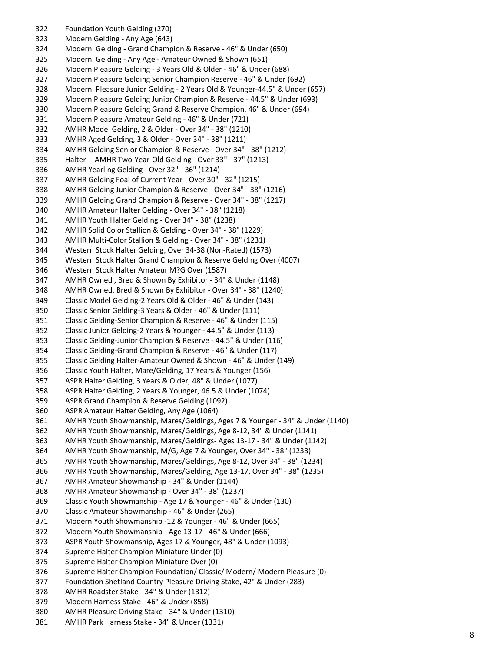Foundation Youth Gelding (270) Modern Gelding - Any Age (643) Modern Gelding - Grand Champion & Reserve - 46" & Under (650) Modern Gelding - Any Age - Amateur Owned & Shown (651) Modern Pleasure Gelding - 3 Years Old & Older - 46" & Under (688) Modern Pleasure Gelding Senior Champion Reserve - 46" & Under (692) Modern Pleasure Junior Gelding - 2 Years Old & Younger -44.5" & Under (657) Modern Pleasure Gelding Junior Champion & Reserve - 44.5" & Under (693) Modern Pleasure Gelding Grand & Reserve Champion, 46" & Under (694) Modern Pleasure Amateur Gelding - 46" & Under (721) AMHR Model Gelding, 2 & Older - Over 34" - 38" (1210) AMHR Aged Gelding, 3 & Older - Over 34" - 38" (1211) AMHR Gelding Senior Champion & Reserve - Over 34" - 38" (1212) Halter AMHR Two -Year -Old Gelding - Over 33" - 37" (1213) AMHR Yearling Gelding - Over 32" - 36" (1214) AMHR Gelding Foal of Current Year - Over 30" - 32" (1215) AMHR Gelding Junior Champion & Reserve - Over 34" - 38" (1216) AMHR Gelding Grand Champion & Reserve - Over 34" - 38" (1217) AMHR Amateur Halter Gelding - Over 34" - 38" (1218) AMHR Youth Halter Gelding - Over 34" - 38" (1238) AMHR Solid Color Stallion & Gelding - Over 34" - 38" (1229) AMHR Multi -Color Stallion & Gelding - Over 34" - 38" (1231) Western Stock Halter Gelding, Over 34 -38 (Non -Rated) (1573) Western Stock Halter Grand Champion & Reserve Gelding Over (4007 ) Western Stock Halter Amateur M?G Over (1587) AMHR Owned , Bred & Shown By Exhibitor - 34" & Under (1148) AMHR Owned, Bred & Shown By Exhibitor - Over 34" - 38" (1240) Classic Model Gelding -2 Years Old & Older - 46" & Under (143) Classic Senior Gelding -3 Years & Older - 46" & Under (111) Classic Gelding -Senior Champion & Reserve - 46" & Under (115) Classic Junior Gelding -2 Years & Younger - 44.5" & Under (113) Classic Gelding -Junior Champion & Reserve - 44.5" & Under (116) Classic Gelding -Grand Champion & Reserve - 46" & Under (117) Classic Gelding Halter -Amateur Owned & Shown - 46" & Under (149) Classic Youth Halter, Mare/Gelding, 17 Years & Younger (156) ASPR Halter Gelding, 3 Years & Older, 48" & Under (1077) ASPR Halter Gelding, 2 Years & Younger, 46.5 & Under (1074) ASPR Grand Champion & Reserve Gelding (1092) ASPR Amateur Halter Gelding, Any Age (1064) AMHR Youth Showmanship, Mares/Geldings, Ages 7 & Younger - 34" & Under (1140) AMHR Youth Showmanship, Mares/Geldings, Age 8 -12, 34" & Under (1141) AMHR Youth Showmanship, Mares/Geldings - Ages 13 -17 - 34" & Under (1142) AMHR Youth Showmanship, M/G, Age 7 & Younger, Over 34" - 38" (1233) AMHR Youth Showmanship, Mares/Geldings, Age 8 -12, Over 34" - 38" (1234) AMHR Youth Showmanship, Mares/Gelding, Age 13 -17, Over 34" - 38" (1235) AMHR Amateur Showmanship - 34" & Under (1144) AMHR Amateur Showmanship - Over 34" - 38" (1237) 369 Classic Youth Showmanship - Age 17 & Younger - 46" & Under (130) Classic Amateur Showmanship - 46" & Under (265) Modern Youth Showmanship -12 & Younger - 46" & Under (665) Modern Youth Showmanship - Age 13 -17 - 46" & Under (666) ASPR Youth Showmanship, Ages 17 & Younger, 48" & Under (1093) Supreme Halter Champion Miniature Under (0) Supreme Halter Champion Miniature Over (0) Supreme Halter Champion Foundation/ Classic/ Modern/ Modern Pleasure (0) Foundation Shetland Country Pleasure Driving Stake, 42" & Under (283) AMHR Roadster Stake - 34" & Under (1312) Modern Harness Stake - 46" & Under (858) AMHR Pleasure Driving Stake - 34" & Under (1310) AMHR Park Harness Stake - 34" & Under (1331)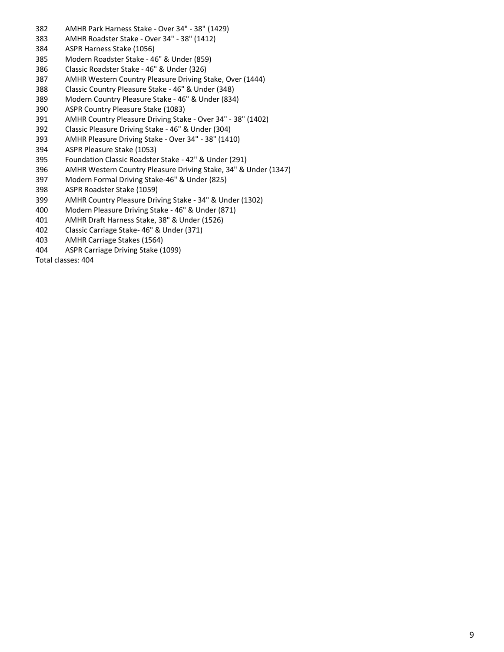- AMHR Park Harness Stake Over 34" 38" (1429)
- AMHR Roadster Stake Over 34" 38" (1412)
- ASPR Harness Stake (1056)
- Modern Roadster Stake 46" & Under (859)
- Classic Roadster Stake 46" & Under (326)
- AMHR Western Country Pleasure Driving Stake, Over (1444)
- Classic Country PIeasure Stake 46" & Under (348)
- Modern Country Pleasure Stake 46" & Under (834)
- ASPR Country Pleasure Stake (1083)
- AMHR Country Pleasure Driving Stake Over 34" 38" (1402)
- Classic Pleasure Driving Stake 46" & Under (304)
- AMHR Pleasure Driving Stake Over 34" 38" (1410)
- ASPR Pleasure Stake (1053)
- Foundation Classic Roadster Stake 42" & Under (291)
- AMHR Western Country Pleasure Driving Stake, 34" & Under (1347)
- Modern Formal Driving Stake-46" & Under (825)
- ASPR Roadster Stake (1059)
- AMHR Country Pleasure Driving Stake 34" & Under (1302)
- Modern Pleasure Driving Stake 46" & Under (871)
- AMHR Draft Harness Stake, 38" & Under (1526)
- Classic Carriage Stake- 46" & Under (371)
- AMHR Carriage Stakes (1564)
- ASPR Carriage Driving Stake (1099)

Total classes: 404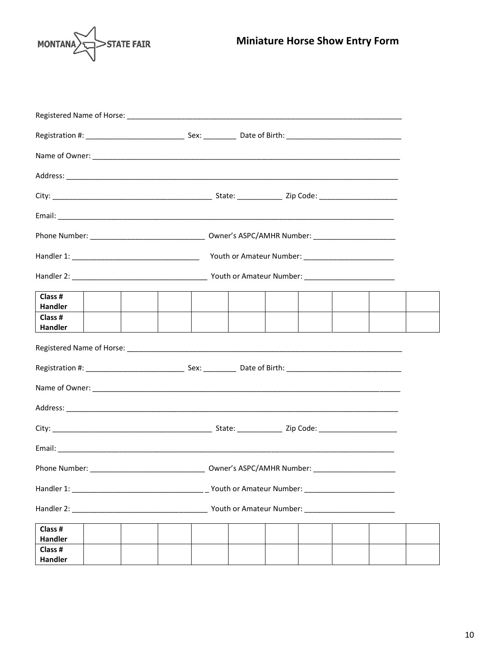

| Registered Name of Horse: Law March 2014 and 2014 and 2014 and 2014 and 2014 and 2014 and 2014 and 2014 and 20 |  |  |  |  |  |  |  |
|----------------------------------------------------------------------------------------------------------------|--|--|--|--|--|--|--|
|                                                                                                                |  |  |  |  |  |  |  |
|                                                                                                                |  |  |  |  |  |  |  |
|                                                                                                                |  |  |  |  |  |  |  |
|                                                                                                                |  |  |  |  |  |  |  |
|                                                                                                                |  |  |  |  |  |  |  |
|                                                                                                                |  |  |  |  |  |  |  |
|                                                                                                                |  |  |  |  |  |  |  |
|                                                                                                                |  |  |  |  |  |  |  |
| Class #<br><b>Handler</b>                                                                                      |  |  |  |  |  |  |  |
| Class #<br>Handler                                                                                             |  |  |  |  |  |  |  |
|                                                                                                                |  |  |  |  |  |  |  |
|                                                                                                                |  |  |  |  |  |  |  |
|                                                                                                                |  |  |  |  |  |  |  |
|                                                                                                                |  |  |  |  |  |  |  |
|                                                                                                                |  |  |  |  |  |  |  |
|                                                                                                                |  |  |  |  |  |  |  |
|                                                                                                                |  |  |  |  |  |  |  |
|                                                                                                                |  |  |  |  |  |  |  |
|                                                                                                                |  |  |  |  |  |  |  |
| Class #<br>Handler                                                                                             |  |  |  |  |  |  |  |
| Class #<br><b>Handler</b>                                                                                      |  |  |  |  |  |  |  |